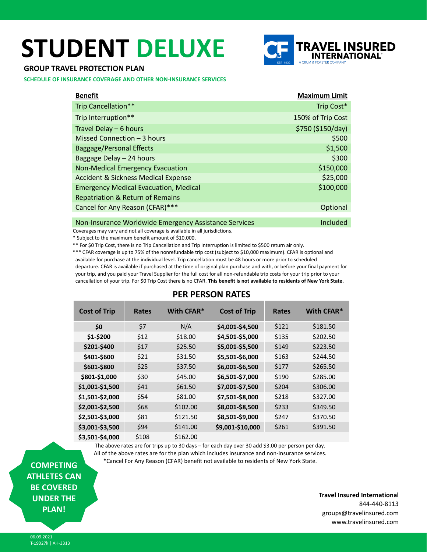# **STUDENT DELUXE**



## **GROUP TRAVEL PROTECTION PLAN**

**SCHEDULE OF INSURANCE COVERAGE AND OTHER NON-INSURANCE SERVICES**

| <b>Benefit</b>                                        | <b>Maximum Limit</b> |
|-------------------------------------------------------|----------------------|
| Trip Cancellation**                                   | Trip Cost*           |
| Trip Interruption**                                   | 150% of Trip Cost    |
| Travel Delay - 6 hours                                | \$750 (\$150/day)    |
| Missed Connection - 3 hours                           | \$500                |
| <b>Baggage/Personal Effects</b>                       | \$1,500              |
| Baggage Delay - 24 hours                              | \$300                |
| <b>Non-Medical Emergency Evacuation</b>               | \$150,000            |
| <b>Accident &amp; Sickness Medical Expense</b>        | \$25,000             |
| <b>Emergency Medical Evacuation, Medical</b>          | \$100,000            |
| <b>Repatriation &amp; Return of Remains</b>           |                      |
| Cancel for Any Reason (CFAR)***                       | Optional             |
| Non-Insurance Worldwide Emergency Assistance Services | Included             |

Coverages may vary and not all coverage is available in all jurisdictions.

\* Subject to the maximum benefit amount of \$10,000.

\*\* For \$0 Trip Cost, there is no Trip Cancellation and Trip Interruption is limited to \$500 return air only.

\*\*\* CFAR coverage is up to 75% of the nonrefundable trip cost (subject to \$10,000 maximum). CFAR is optional and available for purchase at the individual level. Trip cancellation must be 48 hours or more prior to scheduled departure. CFAR is available if purchased at the time of original plan purchase and with, or before your final payment for your trip, and you paid your Travel Supplier for the full cost for all non-refundable trip costs for your trip prior to your cancellation of your trip. For \$0 Trip Cost there is no CFAR. **This benefit is not available to residents of New York State.**

| <b>Cost of Trip</b> | <b>Rates</b> | With CFAR <sup>*</sup> | <b>Cost of Trip</b> | <b>Rates</b> | With CFAR* |
|---------------------|--------------|------------------------|---------------------|--------------|------------|
| \$0                 | \$7          | N/A                    | \$4,001-\$4,500     | \$121        | \$181.50   |
| \$1-\$200           | \$12         | \$18.00                | \$4,501-\$5,000     | \$135        | \$202.50   |
| \$201-\$400         | \$17         | \$25.50                | \$5,001-\$5,500     | \$149        | \$223.50   |
| \$401-\$600         | \$21         | \$31.50                | \$5,501-\$6,000     | \$163        | \$244.50   |
| \$601-\$800         | \$25         | \$37.50                | \$6,001-\$6,500     | \$177        | \$265.50   |
| \$801-\$1,000       | \$30         | \$45.00                | \$6,501-\$7,000     | \$190        | \$285.00   |
| \$1,001-\$1,500     | \$41         | \$61.50                | \$7,001-\$7,500     | \$204        | \$306.00   |
| \$1,501-\$2,000     | \$54         | \$81.00                | \$7,501-\$8,000     | \$218        | \$327.00   |
| \$2,001-\$2,500     | \$68         | \$102.00               | \$8,001-\$8,500     | \$233        | \$349.50   |
| \$2,501-\$3,000     | \$81         | \$121.50               | \$8,501-\$9,000     | \$247        | \$370.50   |
| \$3,001-\$3,500     | \$94         | \$141.00               | \$9,001-\$10,000    | \$261        | \$391.50   |
| \$3,501-\$4,000     | \$108        | \$162.00               |                     |              |            |
|                     |              |                        |                     |              |            |

# **PER PERSON RATES**

The above rates are for trips up to 30 days – for each day over 30 add \$3.00 per person per day. All of the above rates are for the plan which includes insurance and non-insurance services. \*Cancel For Any Reason (CFAR) benefit not available to residents of New York State.

**COMPETING ATHLETES CAN BE COVERED UNDER THE PLAN!**

**Travel Insured International** 844-440-8113 groups@travelinsured.com www.travelinsured.com